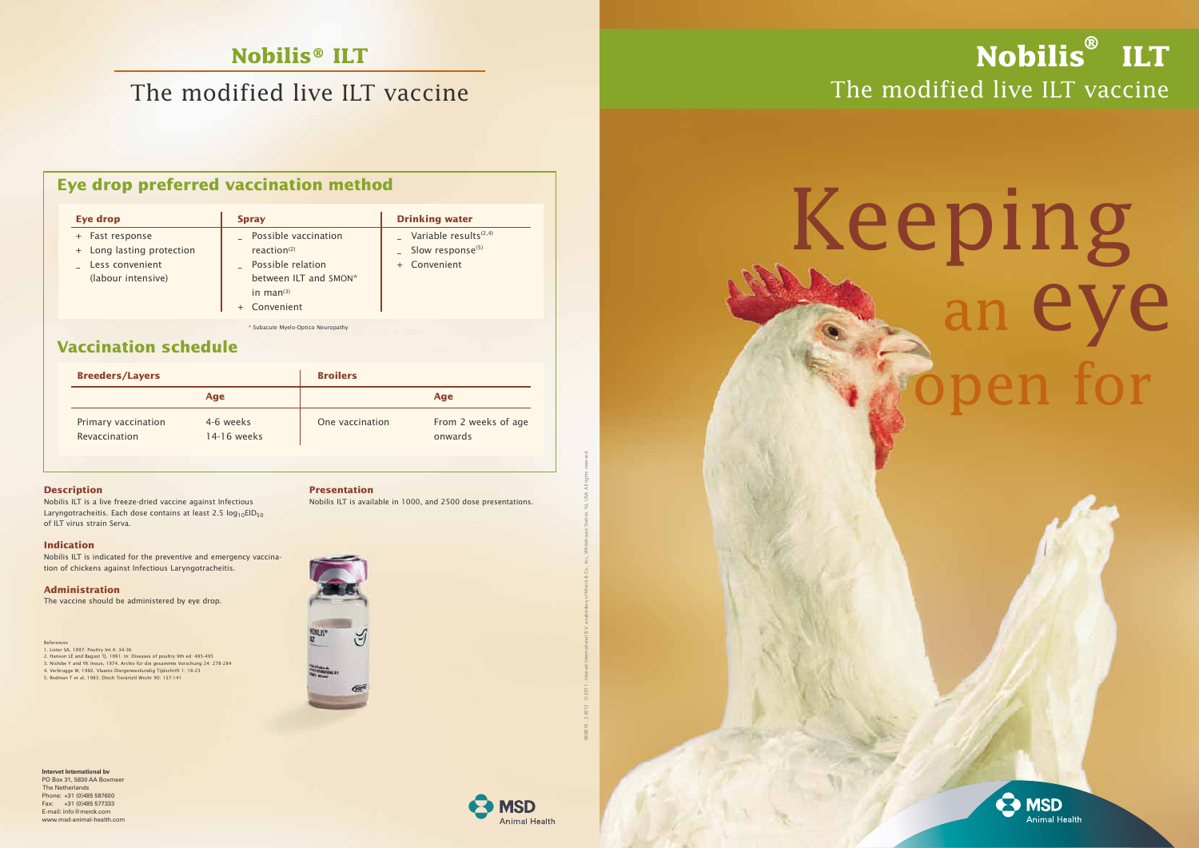## **Eye drop preferred vaccination method**

## **Vaccination schedule**

# Keeping<br>An eye open for



# **Nobilis® ILT**

# The modified live ILT vaccine

## The modified live ILT vaccine **Nobilis ® ILT**

\* Subacute Myelo-Optico Neuropathy

| <b>Breeders/Layers</b>               |                          | <b>Broilers</b> |                                |
|--------------------------------------|--------------------------|-----------------|--------------------------------|
|                                      | Age                      |                 | Age                            |
| Primary vaccination<br>Revaccination | 4-6 weeks<br>14-16 weeks | One vaccination | From 2 weeks of age<br>onwards |

#### **Description**

1. Lister SA, 1997. Poultry Int 4: 34-36 2. Hanson LE and Bagust TJ, 1991. In: Diseases of poultry 9th ed: 485-495 3. Nishibe Y and YK Inoue, 1974. Archiv für die gesammte Vorschung 24: 278-284<br>4. Verbrugge W, 1982. Vlaams Diergeneeskundig Tijdschrift 1: 18-23<br>5. Redman T et al, 1983. Dtsch Tierärtztl Wschr 90: 137-141

Nobilis ILT is a live freeze-dried vaccine against Infectious Laryngotracheitis. Each dose contains at least 2.5  $log_{10}EID_{50}$ of ILT virus strain Serva.

#### **Indication**

Nobilis ILT is indicated for the preventive and emergency vaccina tion of chickens against Infectious Laryngotracheitis.

#### **Administration**

The vaccine should be administered by eye drop.

#### **Presentation**

Nobilis ILT is available in 1000, and 2500 dose presentations.



References

| <b>Eye drop</b>                                                                       | <b>Spray</b>                                                                                                               | <b>Drinking water</b>                                                                          |
|---------------------------------------------------------------------------------------|----------------------------------------------------------------------------------------------------------------------------|------------------------------------------------------------------------------------------------|
| + Fast response<br>+ Long lasting protection<br>Less convenient<br>(labour intensive) | Possible vaccination<br>reaction <sup>(2)</sup><br>Possible relation<br>between ILT and SMON*<br>in $man(3)$<br>Convenient | Variable results <sup><math>(2,4)</math></sup><br>Slow response <sup>(5)</sup><br>+ Convenient |

**Intervet International bv** PO Box 31, 5830 AA Boxmeer The Netherlands Phone: +31 (0)485 587600 Fax: +31 (0)485 577333 E-mail: info@merck.com www.msd-animal-health.com 060016 . 2.2012 . © 2011 . Intervet International B.V. a subsidiary of Merck & Co., Inc., Whitehouse Station, NJ, USA. All rights reserved.